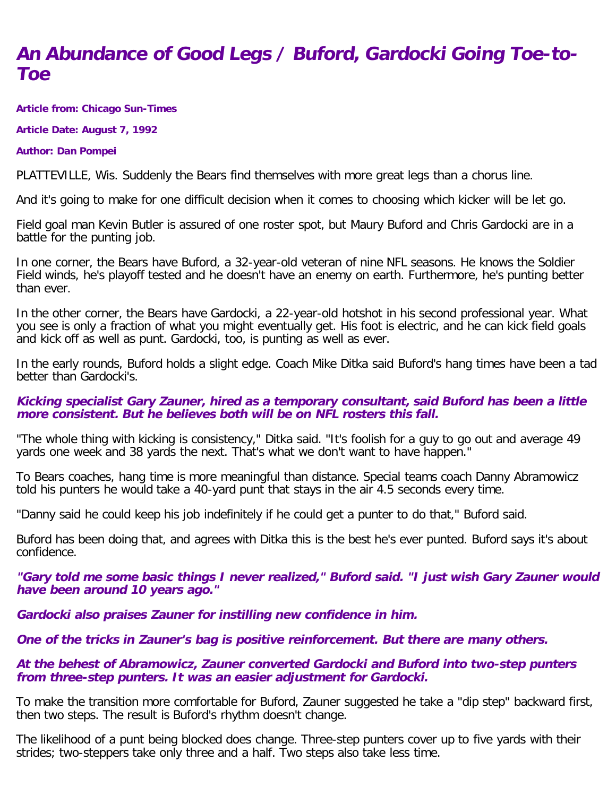# **An Abundance of Good Legs / Buford, Gardocki Going Toe-to-Toe**

**Article from: Chicago Sun-Times**

**Article Date: August 7, 1992**

#### **Author: Dan Pompei**

PLATTEVILLE, Wis. Suddenly the Bears find themselves with more great legs than a chorus line.

And it's going to make for one difficult decision when it comes to choosing which kicker will be let go.

Field goal man Kevin Butler is assured of one roster spot, but Maury Buford and Chris Gardocki are in a battle for the punting job.

In one corner, the Bears have Buford, a 32-year-old veteran of nine NFL seasons. He knows the Soldier Field winds, he's playoff tested and he doesn't have an enemy on earth. Furthermore, he's punting better than ever.

In the other corner, the Bears have Gardocki, a 22-year-old hotshot in his second professional year. What you see is only a fraction of what you might eventually get. His foot is electric, and he can kick field goals and kick off as well as punt. Gardocki, too, is punting as well as ever.

In the early rounds, Buford holds a slight edge. Coach Mike Ditka said Buford's hang times have been a tad better than Gardocki's.

### **Kicking specialist Gary Zauner, hired as a temporary consultant, said Buford has been a little more consistent. But he believes both will be on NFL rosters this fall.**

"The whole thing with kicking is consistency," Ditka said. "It's foolish for a guy to go out and average 49 yards one week and 38 yards the next. That's what we don't want to have happen."

To Bears coaches, hang time is more meaningful than distance. Special teams coach Danny Abramowicz told his punters he would take a 40-yard punt that stays in the air 4.5 seconds every time.

"Danny said he could keep his job indefinitely if he could get a punter to do that," Buford said.

Buford has been doing that, and agrees with Ditka this is the best he's ever punted. Buford says it's about confidence.

**"Gary told me some basic things I never realized," Buford said. "I just wish Gary Zauner would have been around 10 years ago."**

**Gardocki also praises Zauner for instilling new confidence in him.**

**One of the tricks in Zauner's bag is positive reinforcement. But there are many others.**

### **At the behest of Abramowicz, Zauner converted Gardocki and Buford into two-step punters from three-step punters. It was an easier adjustment for Gardocki.**

To make the transition more comfortable for Buford, Zauner suggested he take a "dip step" backward first, then two steps. The result is Buford's rhythm doesn't change.

The likelihood of a punt being blocked does change. Three-step punters cover up to five yards with their strides; two-steppers take only three and a half. Two steps also take less time.